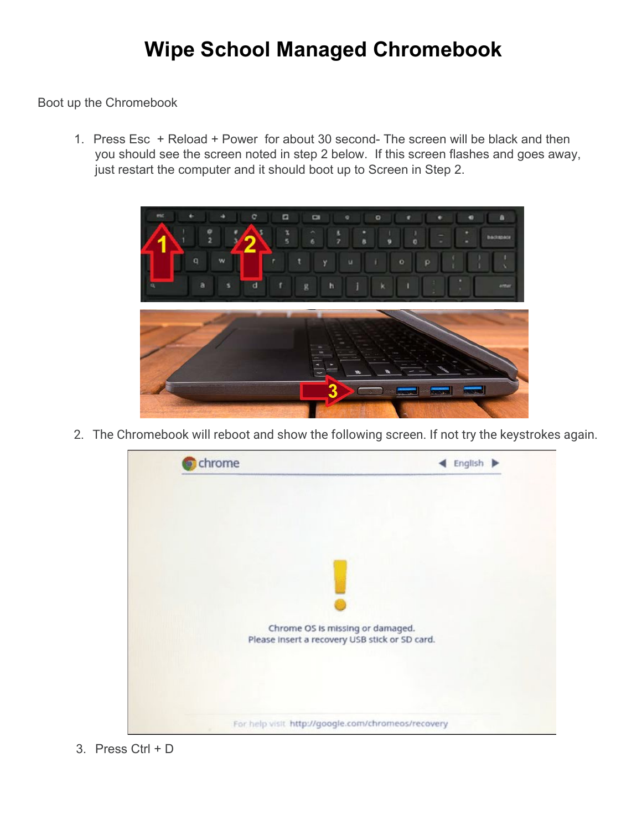## **Wipe School Managed Chromebook**

Boot up the Chromebook

1. Press Esc + Reload + Power for about 30 second- The screen will be black and then you should see the screen noted in step 2 below. If this screen flashes and goes away, just restart the computer and it should boot up to Screen in Step 2.



2. The Chromebook will reboot and show the following screen. If not try the keystrokes again.



3. Press Ctrl + D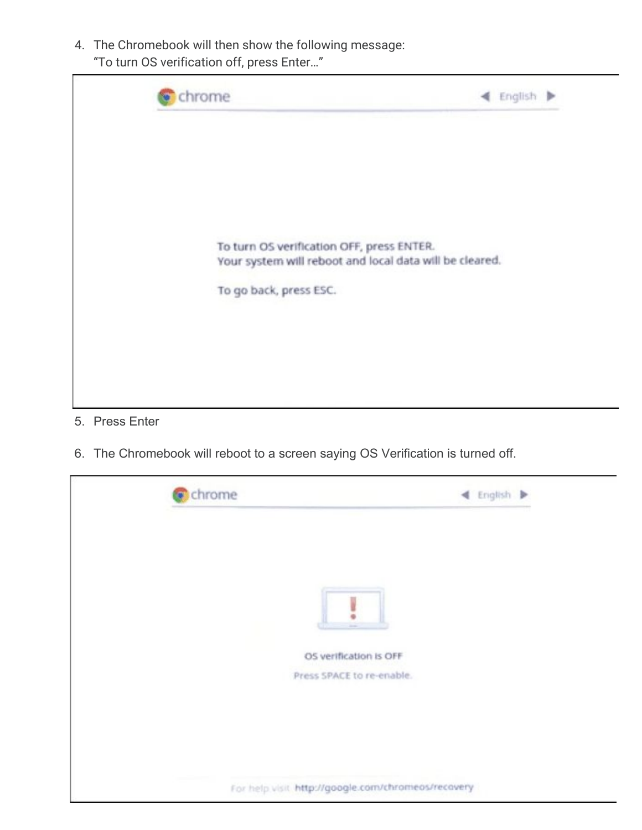4. The Chromebook will then show the following message: "To turn OS verification off, press Enter…"



- 5. Press Enter
- 6. The Chromebook will reboot to a screen saying OS Verification is turned off.